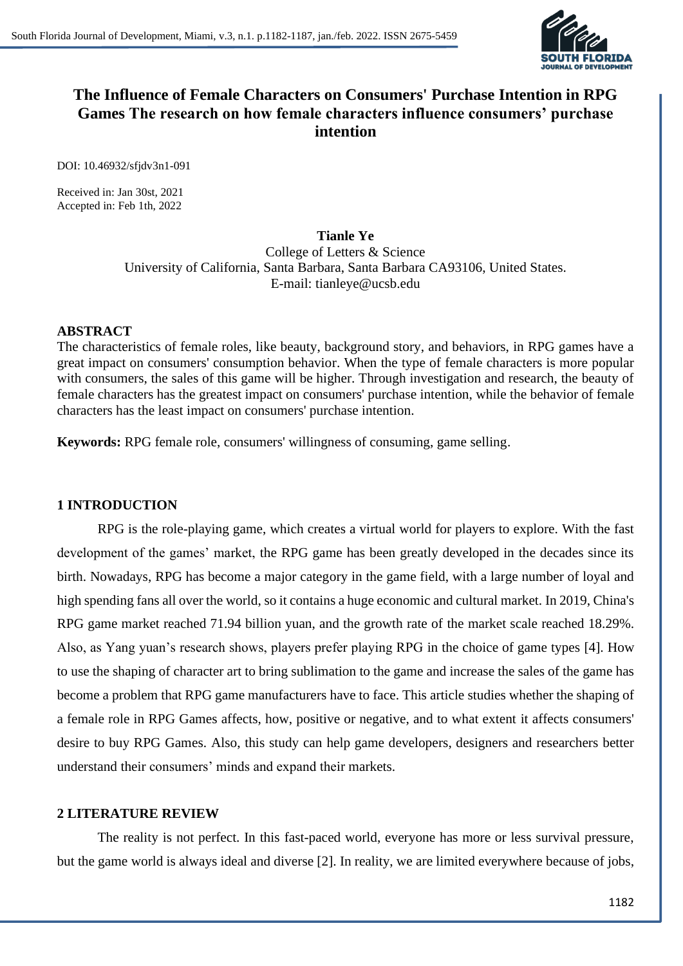

# **The Influence of Female Characters on Consumers' Purchase Intention in RPG Games The research on how female characters influence consumers' purchase intention**

DOI: 10.46932/sfjdv3n1-091

Received in: Jan 30st, 2021 Accepted in: Feb 1th, 2022

# **Tianle Ye**

College of Letters & Science University of California, Santa Barbara, Santa Barbara CA93106, United States. E-mail: tianleye@ucsb.edu

#### **ABSTRACT**

The characteristics of female roles, like beauty, background story, and behaviors, in RPG games have a great impact on consumers' consumption behavior. When the type of female characters is more popular with consumers, the sales of this game will be higher. Through investigation and research, the beauty of female characters has the greatest impact on consumers' purchase intention, while the behavior of female characters has the least impact on consumers' purchase intention.

**Keywords:** RPG female role, consumers' willingness of consuming, game selling.

### **1 INTRODUCTION**

RPG is the role-playing game, which creates a virtual world for players to explore. With the fast development of the games' market, the RPG game has been greatly developed in the decades since its birth. Nowadays, RPG has become a major category in the game field, with a large number of loyal and high spending fans all over the world, so it contains a huge economic and cultural market. In 2019, China's RPG game market reached 71.94 billion yuan, and the growth rate of the market scale reached 18.29%. Also, as Yang yuan's research shows, players prefer playing RPG in the choice of game types [4]. How to use the shaping of character art to bring sublimation to the game and increase the sales of the game has become a problem that RPG game manufacturers have to face. This article studies whether the shaping of a female role in RPG Games affects, how, positive or negative, and to what extent it affects consumers' desire to buy RPG Games. Also, this study can help game developers, designers and researchers better understand their consumers' minds and expand their markets.

#### **2 LITERATURE REVIEW**

The reality is not perfect. In this fast-paced world, everyone has more or less survival pressure, but the game world is always ideal and diverse [2]. In reality, we are limited everywhere because of jobs,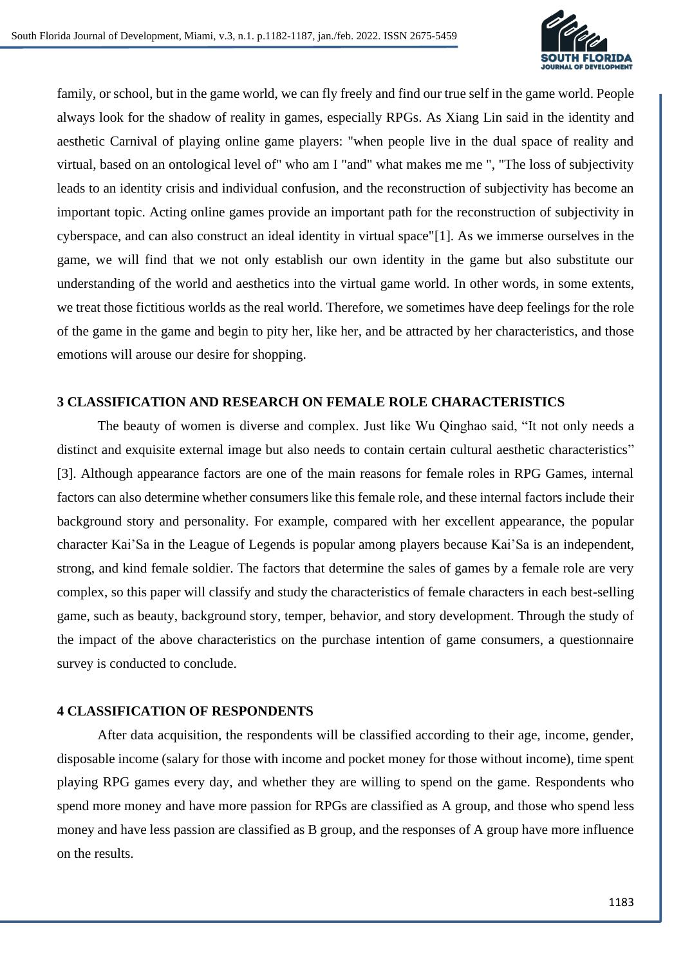

family, or school, but in the game world, we can fly freely and find our true self in the game world. People always look for the shadow of reality in games, especially RPGs. As Xiang Lin said in the identity and aesthetic Carnival of playing online game players: "when people live in the dual space of reality and virtual, based on an ontological level of" who am I "and" what makes me me ", "The loss of subjectivity leads to an identity crisis and individual confusion, and the reconstruction of subjectivity has become an important topic. Acting online games provide an important path for the reconstruction of subjectivity in cyberspace, and can also construct an ideal identity in virtual space"[1]. As we immerse ourselves in the game, we will find that we not only establish our own identity in the game but also substitute our understanding of the world and aesthetics into the virtual game world. In other words, in some extents, we treat those fictitious worlds as the real world. Therefore, we sometimes have deep feelings for the role of the game in the game and begin to pity her, like her, and be attracted by her characteristics, and those emotions will arouse our desire for shopping.

### **3 CLASSIFICATION AND RESEARCH ON FEMALE ROLE CHARACTERISTICS**

The beauty of women is diverse and complex. Just like Wu Qinghao said, "It not only needs a distinct and exquisite external image but also needs to contain certain cultural aesthetic characteristics" [3]. Although appearance factors are one of the main reasons for female roles in RPG Games, internal factors can also determine whether consumers like this female role, and these internal factors include their background story and personality. For example, compared with her excellent appearance, the popular character Kai'Sa in the League of Legends is popular among players because Kai'Sa is an independent, strong, and kind female soldier. The factors that determine the sales of games by a female role are very complex, so this paper will classify and study the characteristics of female characters in each best-selling game, such as beauty, background story, temper, behavior, and story development. Through the study of the impact of the above characteristics on the purchase intention of game consumers, a questionnaire survey is conducted to conclude.

# **4 CLASSIFICATION OF RESPONDENTS**

After data acquisition, the respondents will be classified according to their age, income, gender, disposable income (salary for those with income and pocket money for those without income), time spent playing RPG games every day, and whether they are willing to spend on the game. Respondents who spend more money and have more passion for RPGs are classified as A group, and those who spend less money and have less passion are classified as B group, and the responses of A group have more influence on the results.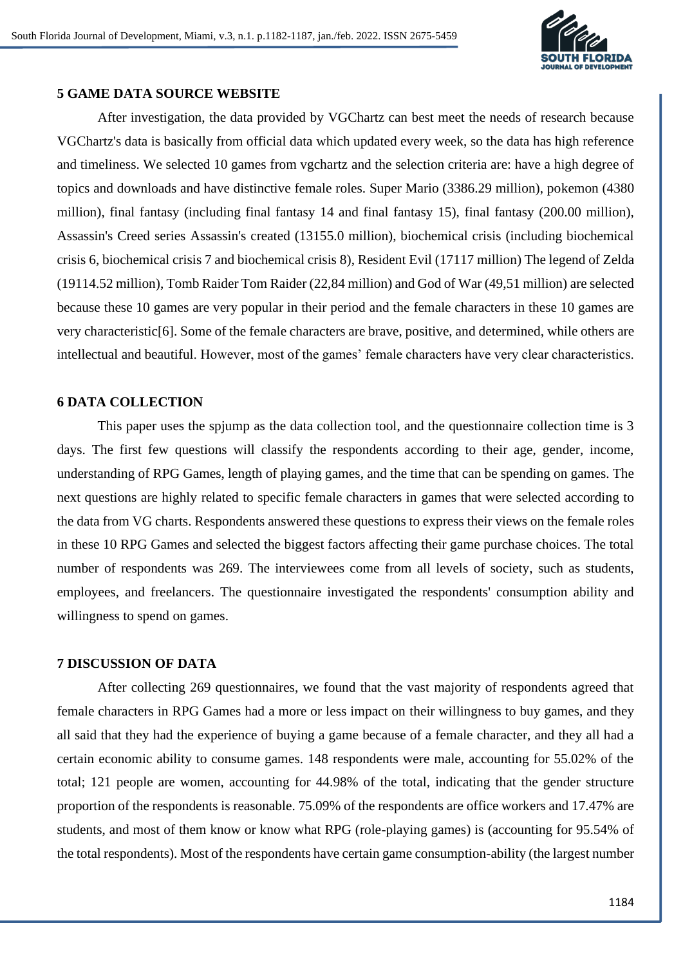

### **5 GAME DATA SOURCE WEBSITE**

After investigation, the data provided by VGChartz can best meet the needs of research because VGChartz's data is basically from official data which updated every week, so the data has high reference and timeliness. We selected 10 games from vgchartz and the selection criteria are: have a high degree of topics and downloads and have distinctive female roles. Super Mario (3386.29 million), pokemon (4380 million), final fantasy (including final fantasy 14 and final fantasy 15), final fantasy (200.00 million), Assassin's Creed series Assassin's created (13155.0 million), biochemical crisis (including biochemical crisis 6, biochemical crisis 7 and biochemical crisis 8), Resident Evil (17117 million) The legend of Zelda (19114.52 million), Tomb Raider Tom Raider (22,84 million) and God of War (49,51 million) are selected because these 10 games are very popular in their period and the female characters in these 10 games are very characteristic[6]. Some of the female characters are brave, positive, and determined, while others are intellectual and beautiful. However, most of the games' female characters have very clear characteristics.

#### **6 DATA COLLECTION**

This paper uses the spjump as the data collection tool, and the questionnaire collection time is 3 days. The first few questions will classify the respondents according to their age, gender, income, understanding of RPG Games, length of playing games, and the time that can be spending on games. The next questions are highly related to specific female characters in games that were selected according to the data from VG charts. Respondents answered these questions to express their views on the female roles in these 10 RPG Games and selected the biggest factors affecting their game purchase choices. The total number of respondents was 269. The interviewees come from all levels of society, such as students, employees, and freelancers. The questionnaire investigated the respondents' consumption ability and willingness to spend on games.

# **7 DISCUSSION OF DATA**

After collecting 269 questionnaires, we found that the vast majority of respondents agreed that female characters in RPG Games had a more or less impact on their willingness to buy games, and they all said that they had the experience of buying a game because of a female character, and they all had a certain economic ability to consume games. 148 respondents were male, accounting for 55.02% of the total; 121 people are women, accounting for 44.98% of the total, indicating that the gender structure proportion of the respondents is reasonable. 75.09% of the respondents are office workers and 17.47% are students, and most of them know or know what RPG (role-playing games) is (accounting for 95.54% of the total respondents). Most of the respondents have certain game consumption-ability (the largest number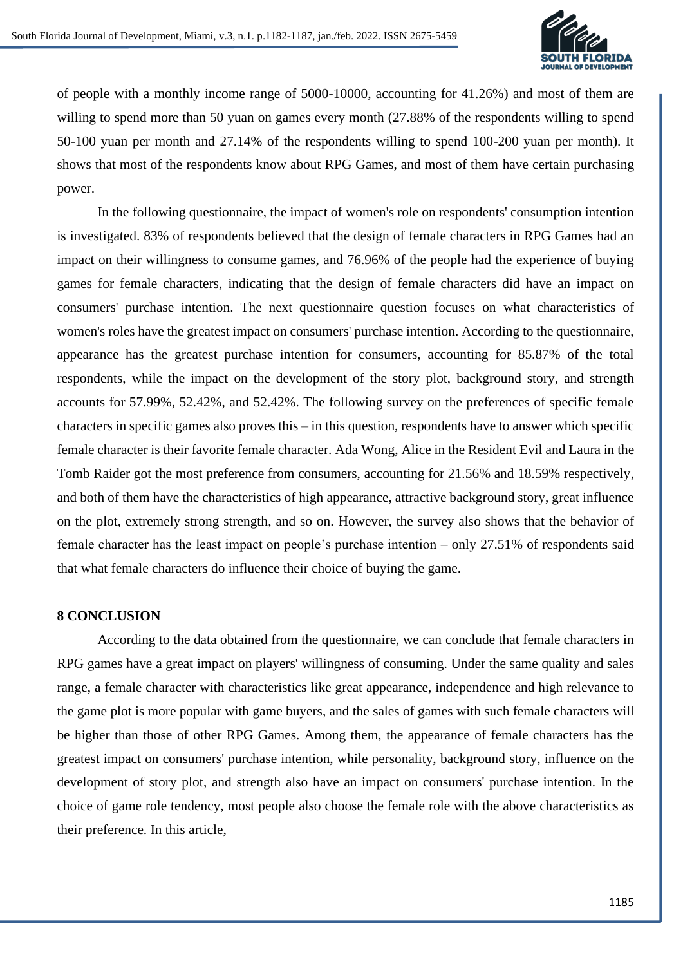

of people with a monthly income range of 5000-10000, accounting for 41.26%) and most of them are willing to spend more than 50 yuan on games every month (27.88% of the respondents willing to spend 50-100 yuan per month and 27.14% of the respondents willing to spend 100-200 yuan per month). It shows that most of the respondents know about RPG Games, and most of them have certain purchasing power.

In the following questionnaire, the impact of women's role on respondents' consumption intention is investigated. 83% of respondents believed that the design of female characters in RPG Games had an impact on their willingness to consume games, and 76.96% of the people had the experience of buying games for female characters, indicating that the design of female characters did have an impact on consumers' purchase intention. The next questionnaire question focuses on what characteristics of women's roles have the greatest impact on consumers' purchase intention. According to the questionnaire, appearance has the greatest purchase intention for consumers, accounting for 85.87% of the total respondents, while the impact on the development of the story plot, background story, and strength accounts for 57.99%, 52.42%, and 52.42%. The following survey on the preferences of specific female characters in specific games also proves this – in this question, respondents have to answer which specific female character is their favorite female character. Ada Wong, Alice in the Resident Evil and Laura in the Tomb Raider got the most preference from consumers, accounting for 21.56% and 18.59% respectively, and both of them have the characteristics of high appearance, attractive background story, great influence on the plot, extremely strong strength, and so on. However, the survey also shows that the behavior of female character has the least impact on people's purchase intention – only 27.51% of respondents said that what female characters do influence their choice of buying the game.

#### **8 CONCLUSION**

According to the data obtained from the questionnaire, we can conclude that female characters in RPG games have a great impact on players' willingness of consuming. Under the same quality and sales range, a female character with characteristics like great appearance, independence and high relevance to the game plot is more popular with game buyers, and the sales of games with such female characters will be higher than those of other RPG Games. Among them, the appearance of female characters has the greatest impact on consumers' purchase intention, while personality, background story, influence on the development of story plot, and strength also have an impact on consumers' purchase intention. In the choice of game role tendency, most people also choose the female role with the above characteristics as their preference. In this article,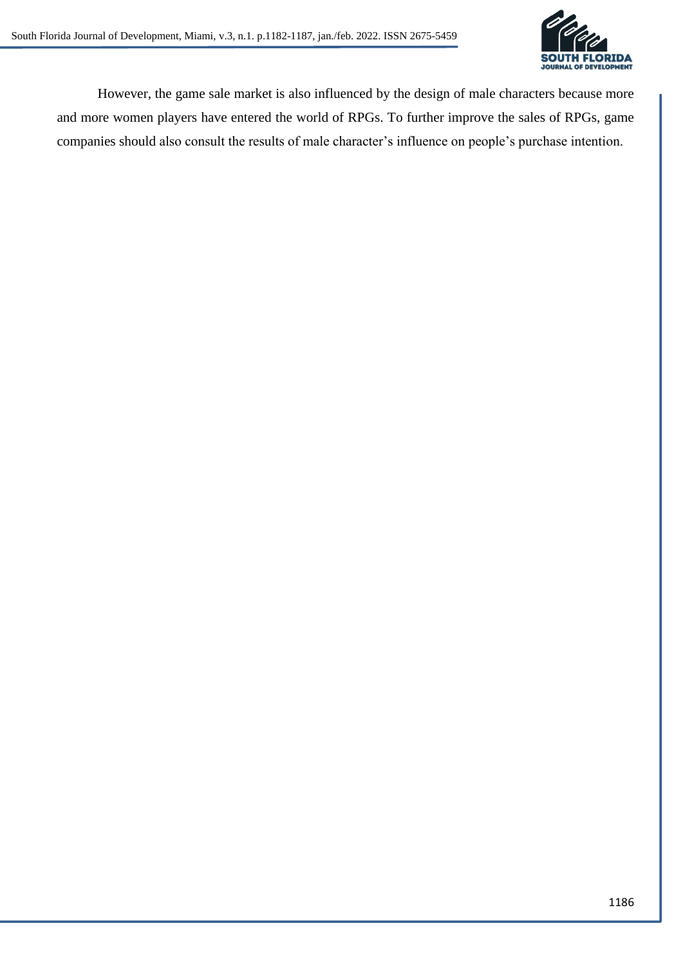

However, the game sale market is also influenced by the design of male characters because more and more women players have entered the world of RPGs. To further improve the sales of RPGs, game companies should also consult the results of male character's influence on people's purchase intention.